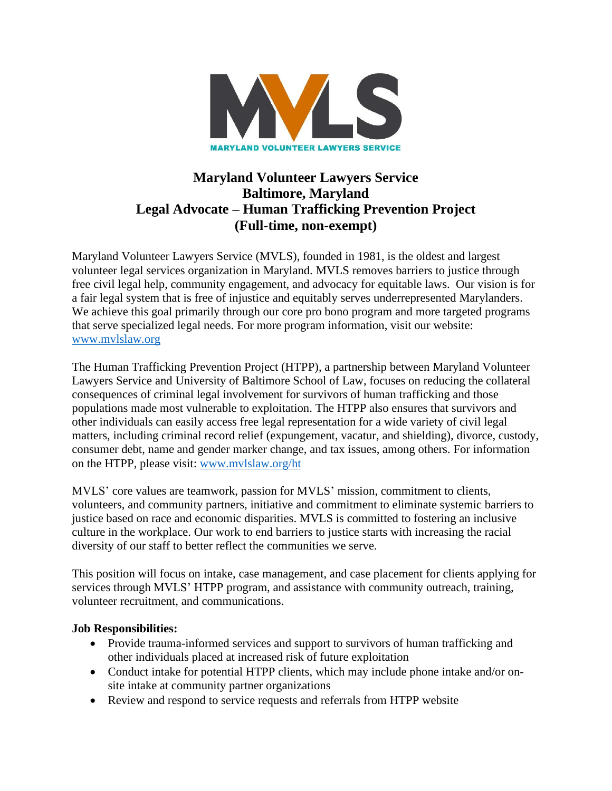

# **Maryland Volunteer Lawyers Service Baltimore, Maryland Legal Advocate – Human Trafficking Prevention Project (Full-time, non-exempt)**

Maryland Volunteer Lawyers Service (MVLS), founded in 1981, is the oldest and largest volunteer legal services organization in Maryland. MVLS removes barriers to justice through free civil legal help, community engagement, and advocacy for equitable laws. Our vision is for a fair legal system that is free of injustice and equitably serves underrepresented Marylanders. We achieve this goal primarily through our core pro bono program and more targeted programs that serve specialized legal needs. For more program information, visit our website: [www.mvlslaw.org](http://www.mvlslaw.org/)

The Human Trafficking Prevention Project (HTPP), a partnership between Maryland Volunteer Lawyers Service and University of Baltimore School of Law, focuses on reducing the collateral consequences of criminal legal involvement for survivors of human trafficking and those populations made most vulnerable to exploitation. The HTPP also ensures that survivors and other individuals can easily access free legal representation for a wide variety of civil legal matters, including criminal record relief (expungement, vacatur, and shielding), divorce, custody, consumer debt, name and gender marker change, and tax issues, among others. For information on the HTPP, please visit: [www.mvlslaw.org/ht](http://www.mvlslaw.org/ht)

MVLS' core values are teamwork, passion for MVLS' mission, commitment to clients, volunteers, and community partners, initiative and commitment to eliminate systemic barriers to justice based on race and economic disparities. MVLS is committed to fostering an inclusive culture in the workplace. Our work to end barriers to justice starts with increasing the racial diversity of our staff to better reflect the communities we serve.

This position will focus on intake, case management, and case placement for clients applying for services through MVLS' HTPP program, and assistance with community outreach, training, volunteer recruitment, and communications.

### **Job Responsibilities:**

- Provide trauma-informed services and support to survivors of human trafficking and other individuals placed at increased risk of future exploitation
- Conduct intake for potential HTPP clients, which may include phone intake and/or onsite intake at community partner organizations
- Review and respond to service requests and referrals from HTPP website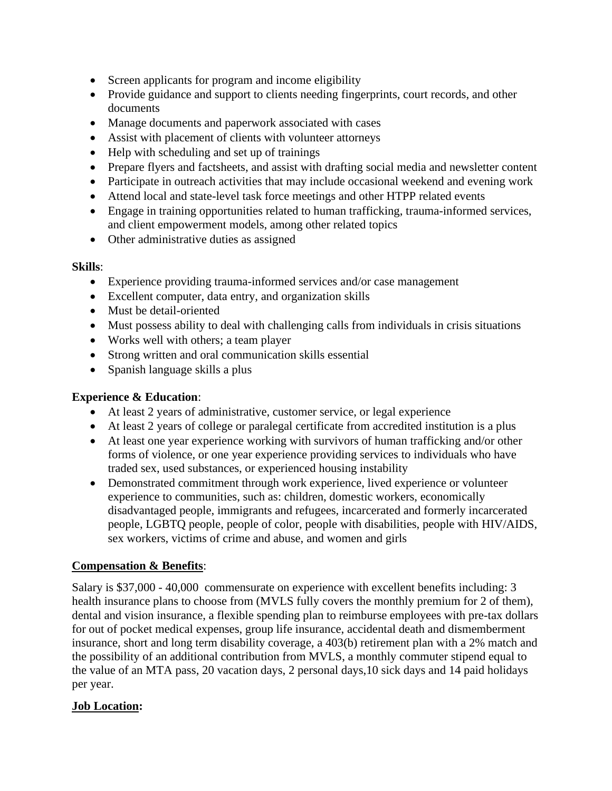- Screen applicants for program and income eligibility
- Provide guidance and support to clients needing fingerprints, court records, and other documents
- Manage documents and paperwork associated with cases
- Assist with placement of clients with volunteer attorneys
- Help with scheduling and set up of trainings
- Prepare flyers and factsheets, and assist with drafting social media and newsletter content
- Participate in outreach activities that may include occasional weekend and evening work
- Attend local and state-level task force meetings and other HTPP related events
- Engage in training opportunities related to human trafficking, trauma-informed services, and client empowerment models, among other related topics
- Other administrative duties as assigned

### **Skills**:

- Experience providing trauma-informed services and/or case management
- Excellent computer, data entry, and organization skills
- Must be detail-oriented
- Must possess ability to deal with challenging calls from individuals in crisis situations
- Works well with others; a team player
- Strong written and oral communication skills essential
- Spanish language skills a plus

### **Experience & Education**:

- At least 2 years of administrative, customer service, or legal experience
- At least 2 years of college or paralegal certificate from accredited institution is a plus
- At least one year experience working with survivors of human trafficking and/or other forms of violence, or one year experience providing services to individuals who have traded sex, used substances, or experienced housing instability
- Demonstrated commitment through work experience, lived experience or volunteer experience to communities, such as: children, domestic workers, economically disadvantaged people, immigrants and refugees, incarcerated and formerly incarcerated people, LGBTQ people, people of color, people with disabilities, people with HIV/AIDS, sex workers, victims of crime and abuse, and women and girls

## **Compensation & Benefits**:

Salary is \$37,000 - 40,000 commensurate on experience with excellent benefits including: 3 health insurance plans to choose from (MVLS fully covers the monthly premium for 2 of them), dental and vision insurance, a flexible spending plan to reimburse employees with pre-tax dollars for out of pocket medical expenses, group life insurance, accidental death and dismemberment insurance, short and long term disability coverage, a 403(b) retirement plan with a 2% match and the possibility of an additional contribution from MVLS, a monthly commuter stipend equal to the value of an MTA pass, 20 vacation days, 2 personal days,10 sick days and 14 paid holidays per year.

### **Job Location:**